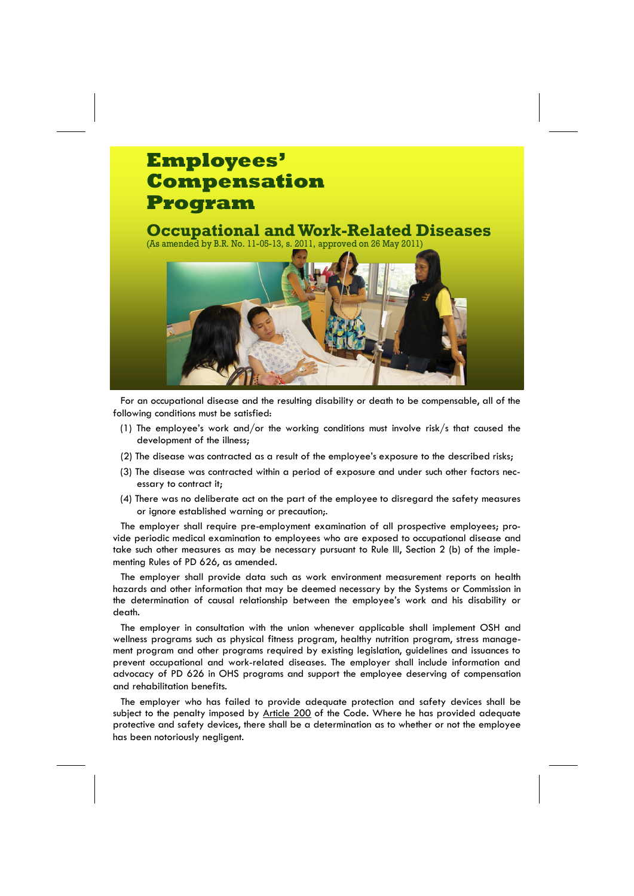## **Employees' Compensation Program**

**Occupational and Work-Related Diseases** (As amended by B.R. No. 11-05-13, s. 2011, approved on 26 May 2011)



For an occupational disease and the resulting disability or death to be compensable, all of the following conditions must be satisfied:

- (1) The employee's work and/or the working conditions must involve risk/s that caused the development of the illness;
- (2) The disease was contracted as a result of the employee's exposure to the described risks;
- (3) The disease was contracted within a period of exposure and under such other factors necessary to contract it;
- (4) There was no deliberate act on the part of the employee to disregard the safety measures or ignore established warning or precaution;.

The employer shall require pre-employment examination of all prospective employees; provide periodic medical examination to employees who are exposed to occupational disease and take such other measures as may be necessary pursuant to Rule III, Section 2 (b) of the implementing Rules of PD 626, as amended.

The employer shall provide data such as work environment measurement reports on health hazards and other information that may be deemed necessary by the Systems or Commission in the determination of causal relationship between the employee's work and his disability or death.

The employer in consultation with the union whenever applicable shall implement OSH and wellness programs such as physical fitness program, healthy nutrition program, stress management program and other programs required by existing legislation, guidelines and issuances to prevent occupational and work-related diseases. The employer shall include information and advocacy of PD 626 in OHS programs and support the employee deserving of compensation and rehabilitation benefits.

The employer who has failed to provide adequate protection and safety devices shall be subject to the penalty imposed by [Article 200](http://www.ecc.gov.ph/pd626.htm#Chapter VIII#Chapter VIII) of the Code. Where he has provided adequate protective and safety devices, there shall be a determination as to whether or not the employee has been notoriously negligent.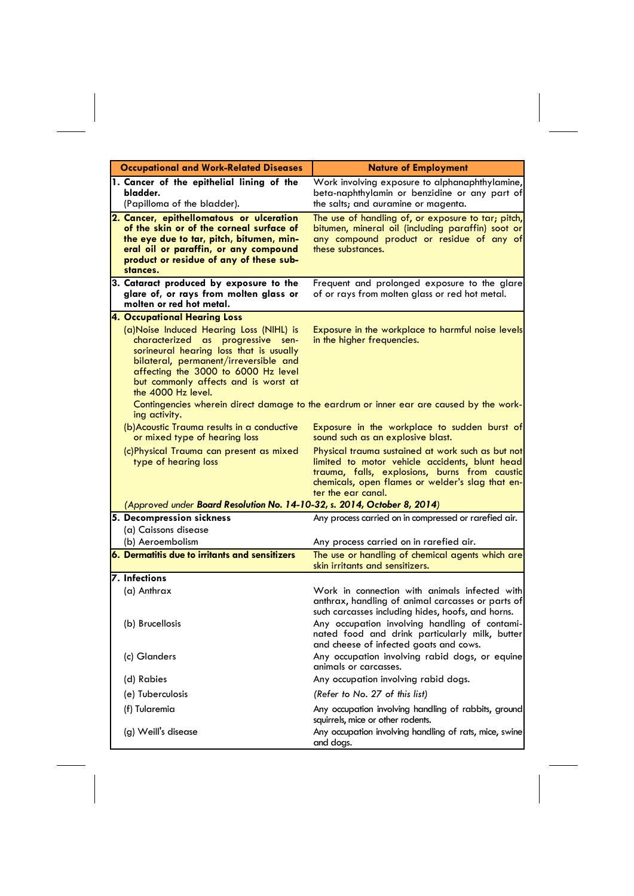| <b>Occupational and Work-Related Diseases</b>                                                                                                                                                                                                                         | <b>Nature of Employment</b>                                                                                                                                                                                                    |
|-----------------------------------------------------------------------------------------------------------------------------------------------------------------------------------------------------------------------------------------------------------------------|--------------------------------------------------------------------------------------------------------------------------------------------------------------------------------------------------------------------------------|
| 1. Cancer of the epithelial lining of the<br>bladder.<br>(Papilloma of the bladder).                                                                                                                                                                                  | Work involving exposure to alphanaphthylamine,<br>beta-naphthylamin or benzidine or any part of<br>the salts; and auramine or magenta.                                                                                         |
| 2. Cancer, epithellomatous or ulceration<br>of the skin or of the corneal surface of<br>the eye due to tar, pitch, bitumen, min-<br>eral oil or paraffin, or any compound<br>product or residue of any of these sub-<br>stances.                                      | The use of handling of, or exposure to tar; pitch,<br>bitumen, mineral oil (including paraffin) soot or<br>any compound product or residue of any of<br>these substances.                                                      |
| 3. Cataract produced by exposure to the<br>glare of, or rays from molten glass or<br>molten or red hot metal.                                                                                                                                                         | Frequent and prolonged exposure to the glare<br>of or rays from molten glass or red hot metal.                                                                                                                                 |
| <b>4. Occupational Hearing Loss</b>                                                                                                                                                                                                                                   |                                                                                                                                                                                                                                |
| (a)Noise Induced Hearing Loss (NIHL) is<br>characterized as progressive sen-<br>sorineural hearing loss that is usually<br>bilateral, permanent/irreversible and<br>affecting the 3000 to 6000 Hz level<br>but commonly affects and is worst at<br>the 4000 Hz level. | Exposure in the workplace to harmful noise levels<br>in the higher frequencies.                                                                                                                                                |
| ing activity.                                                                                                                                                                                                                                                         | Contingencies wherein direct damage to the eardrum or inner ear are caused by the work-                                                                                                                                        |
| (b) Acoustic Trauma results in a conductive<br>or mixed type of hearing loss                                                                                                                                                                                          | Exposure in the workplace to sudden burst of<br>sound such as an explosive blast.                                                                                                                                              |
| (c)Physical Trauma can present as mixed<br>type of hearing loss                                                                                                                                                                                                       | Physical trauma sustained at work such as but not<br>limited to motor vehicle accidents, blunt head<br>trauma, falls, explosions, burns from caustic<br>chemicals, open flames or welder's slag that en-<br>ter the ear canal. |
| (Approved under Board Resolution No. 14-10-32, s. 2014, October 8, 2014)                                                                                                                                                                                              |                                                                                                                                                                                                                                |
| 5. Decompression sickness                                                                                                                                                                                                                                             | Any process carried on in compressed or rarefied air.                                                                                                                                                                          |
| (a) Caissons disease                                                                                                                                                                                                                                                  |                                                                                                                                                                                                                                |
| (b) Aeroembolism                                                                                                                                                                                                                                                      | Any process carried on in rarefied air.                                                                                                                                                                                        |
| 6. Dermatitis due to irritants and sensitizers                                                                                                                                                                                                                        | The use or handling of chemical agents which are<br>skin irritants and sensitizers.                                                                                                                                            |
| <b>7.</b> Infections                                                                                                                                                                                                                                                  |                                                                                                                                                                                                                                |
| (a) Anthrax                                                                                                                                                                                                                                                           | Work in connection with animals infected with<br>anthrax, handling of animal carcasses or parts of<br>such carcasses including hides, hoofs, and horns.                                                                        |
| (b) Brucellosis                                                                                                                                                                                                                                                       | Any occupation involving handling of contami-<br>nated food and drink particularly milk, butter<br>and cheese of infected goats and cows.                                                                                      |
| (c) Glanders                                                                                                                                                                                                                                                          | Any occupation involving rabid dogs, or equine<br>animals or carcasses.                                                                                                                                                        |
| (d) Rabies                                                                                                                                                                                                                                                            | Any occupation involving rabid dogs.                                                                                                                                                                                           |
| (e) Tuberculosis                                                                                                                                                                                                                                                      | (Refer to No. 27 of this list)                                                                                                                                                                                                 |
| (f) Tularemia                                                                                                                                                                                                                                                         | Any occupation involving handling of rabbits, ground<br>squirrels, mice or other rodents.                                                                                                                                      |
| (g) Weill's disease                                                                                                                                                                                                                                                   | Any occupation involving handling of rats, mice, swine<br>and dogs.                                                                                                                                                            |

 $\mathbf{L}$ 

 $\mathbb{R}^2$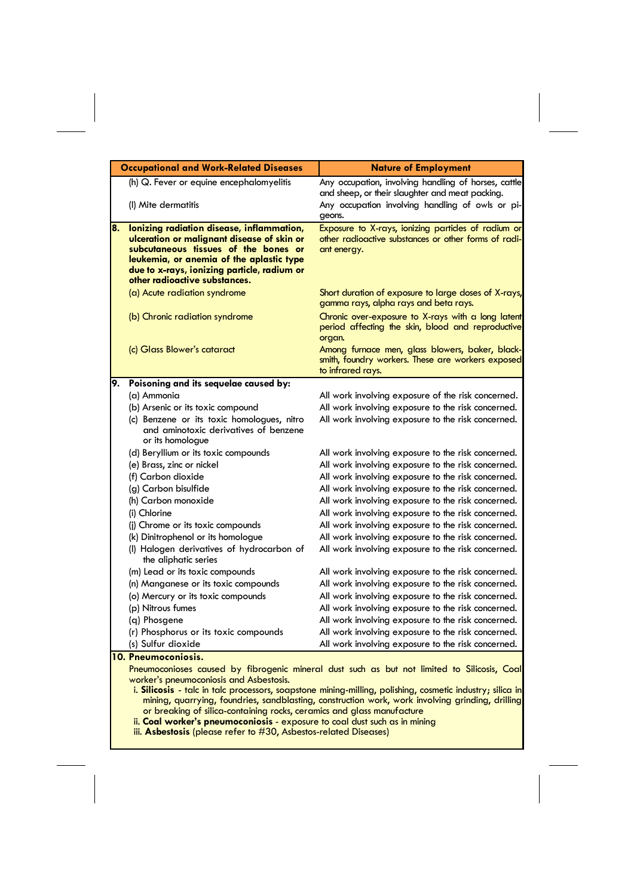|    | <b>Occupational and Work-Related Diseases</b>                                                                                                                                                                                                               | <b>Nature of Employment</b>                                                                                                |
|----|-------------------------------------------------------------------------------------------------------------------------------------------------------------------------------------------------------------------------------------------------------------|----------------------------------------------------------------------------------------------------------------------------|
|    | (h) Q. Fever or equine encephalomyelitis                                                                                                                                                                                                                    | Any occupation, involving handling of horses, cattle<br>and sheep, or their slaughter and meat packing.                    |
|    | (I) Mite dermatitis                                                                                                                                                                                                                                         | Any occupation involving handling of owls or pi-<br>geons.                                                                 |
| 8. | lonizing radiation disease, inflammation,<br>ulceration or malignant disease of skin or<br>subcutaneous tissues of the bones or<br>leukemia, or anemia of the aplastic type<br>due to x-rays, ionizing particle, radium or<br>other radioactive substances. | Exposure to X-rays, ionizing particles of radium or<br>other radioactive substances or other forms of radi-<br>ant energy. |
|    | (a) Acute radiation syndrome                                                                                                                                                                                                                                | Short duration of exposure to large doses of X-rays,<br>gamma rays, alpha rays and beta rays.                              |
|    | (b) Chronic radiation syndrome                                                                                                                                                                                                                              | Chronic over-exposure to X-rays with a long latent<br>period affecting the skin, blood and reproductive<br>organ.          |
|    | (c) Glass Blower's cataract                                                                                                                                                                                                                                 | Among furnace men, glass blowers, baker, black-<br>smith, foundry workers. These are workers exposed<br>to infrared rays.  |
| 9. | Poisoning and its sequelae caused by:                                                                                                                                                                                                                       |                                                                                                                            |
|    | (a) Ammonia                                                                                                                                                                                                                                                 | All work involving exposure of the risk concerned.                                                                         |
|    | (b) Arsenic or its toxic compound                                                                                                                                                                                                                           | All work involving exposure to the risk concerned.                                                                         |
|    | (c) Benzene or its toxic homologues, nitro<br>and aminotoxic derivatives of benzene<br>or its homologue                                                                                                                                                     | All work involving exposure to the risk concerned.                                                                         |
|    | (d) Beryllium or its toxic compounds                                                                                                                                                                                                                        | All work involving exposure to the risk concerned.                                                                         |
|    | (e) Brass, zinc or nickel                                                                                                                                                                                                                                   | All work involving exposure to the risk concerned.                                                                         |
|    | (f) Carbon dioxide                                                                                                                                                                                                                                          | All work involving exposure to the risk concerned.                                                                         |
|    | (g) Carbon bisulfide                                                                                                                                                                                                                                        | All work involving exposure to the risk concerned.                                                                         |
|    | (h) Carbon monoxide                                                                                                                                                                                                                                         | All work involving exposure to the risk concerned.                                                                         |
|    | (i) Chlorine                                                                                                                                                                                                                                                | All work involving exposure to the risk concerned.                                                                         |
|    | (i) Chrome or its toxic compounds                                                                                                                                                                                                                           | All work involving exposure to the risk concerned.                                                                         |
|    | (k) Dinitrophenol or its homologue                                                                                                                                                                                                                          | All work involving exposure to the risk concerned.                                                                         |
|    | (I) Halogen derivatives of hydrocarbon of<br>the aliphatic series                                                                                                                                                                                           | All work involving exposure to the risk concerned.                                                                         |
|    | (m) Lead or its toxic compounds                                                                                                                                                                                                                             | All work involving exposure to the risk concerned.                                                                         |
|    | (n) Manganese or its toxic compounds                                                                                                                                                                                                                        | All work involving exposure to the risk concerned.                                                                         |
|    | (o) Mercury or its toxic compounds                                                                                                                                                                                                                          | All work involving exposure to the risk concerned.                                                                         |
|    | (p) Nitrous fumes                                                                                                                                                                                                                                           | All work involving exposure to the risk concerned.                                                                         |
|    | (q) Phosgene                                                                                                                                                                                                                                                | All work involving exposure to the risk concerned.                                                                         |
|    | (r) Phosphorus or its toxic compounds                                                                                                                                                                                                                       | All work involving exposure to the risk concerned.                                                                         |
|    | (s) Sulfur dioxide                                                                                                                                                                                                                                          | All work involving exposure to the risk concerned.                                                                         |
|    | 10. Pneumoconiosis.                                                                                                                                                                                                                                         |                                                                                                                            |
|    | worker's pneumoconiosis and Asbestosis.                                                                                                                                                                                                                     | Pneumoconioses caused by fibrogenic mineral dust such as but not limited to Silicosis, Coal                                |
|    |                                                                                                                                                                                                                                                             | i. Silicosis - talc in talc processors, soapstone mining-milling, polishing, cosmetic industry; silica in                  |
|    | or breaking of silica-containing rocks, ceramics and glass manufacture                                                                                                                                                                                      | mining, quarrying, foundries, sandblasting, construction work, work involving grinding, drilling                           |

ii. **Coal worker's pneumoconiosis** - exposure to coal dust such as in mining

iii. **Asbestosis** (please refer to #30, Asbestos-related Diseases)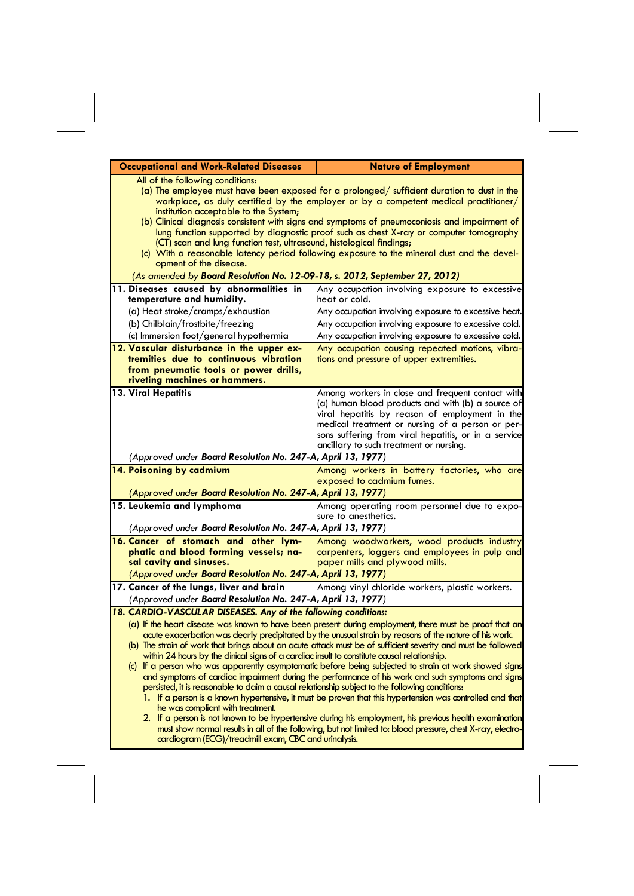| <b>Occupational and Work-Related Diseases</b>                                                                                                                                                                                                                                                                                                                                                                                                                                                                                                                                                                                                                                                                                                                                                                                                                                                                                                                                                                                                                                                                                                                                   | <b>Nature of Employment</b>                                                                                                                                                                                                                                                                                    |
|---------------------------------------------------------------------------------------------------------------------------------------------------------------------------------------------------------------------------------------------------------------------------------------------------------------------------------------------------------------------------------------------------------------------------------------------------------------------------------------------------------------------------------------------------------------------------------------------------------------------------------------------------------------------------------------------------------------------------------------------------------------------------------------------------------------------------------------------------------------------------------------------------------------------------------------------------------------------------------------------------------------------------------------------------------------------------------------------------------------------------------------------------------------------------------|----------------------------------------------------------------------------------------------------------------------------------------------------------------------------------------------------------------------------------------------------------------------------------------------------------------|
| All of the following conditions:<br>(a) The employee must have been exposed for a prolonged/ sufficient duration to dust in the<br>workplace, as duly certified by the employer or by a competent medical practitioner/<br>institution acceptable to the System;<br>(b) Clinical diagnosis consistent with signs and symptoms of pneumoconiosis and impairment of<br>lung function supported by diagnostic proof such as chest X-ray or computer tomography                                                                                                                                                                                                                                                                                                                                                                                                                                                                                                                                                                                                                                                                                                                     |                                                                                                                                                                                                                                                                                                                |
| (CT) scan and lung function test, ultrasound, histological findings;<br>(c) With a reasonable latency period following exposure to the mineral dust and the devel-<br>opment of the disease.                                                                                                                                                                                                                                                                                                                                                                                                                                                                                                                                                                                                                                                                                                                                                                                                                                                                                                                                                                                    |                                                                                                                                                                                                                                                                                                                |
| (As amended by Board Resolution No. 12-09-18, s. 2012, September 27, 2012)                                                                                                                                                                                                                                                                                                                                                                                                                                                                                                                                                                                                                                                                                                                                                                                                                                                                                                                                                                                                                                                                                                      |                                                                                                                                                                                                                                                                                                                |
| 11. Diseases caused by abnormalities in<br>temperature and humidity.                                                                                                                                                                                                                                                                                                                                                                                                                                                                                                                                                                                                                                                                                                                                                                                                                                                                                                                                                                                                                                                                                                            | Any occupation involving exposure to excessive<br>heat or cold.                                                                                                                                                                                                                                                |
| (a) Heat stroke/cramps/exhaustion                                                                                                                                                                                                                                                                                                                                                                                                                                                                                                                                                                                                                                                                                                                                                                                                                                                                                                                                                                                                                                                                                                                                               | Any occupation involving exposure to excessive heat.                                                                                                                                                                                                                                                           |
| (b) Chilblain/frostbite/freezing                                                                                                                                                                                                                                                                                                                                                                                                                                                                                                                                                                                                                                                                                                                                                                                                                                                                                                                                                                                                                                                                                                                                                | Any occupation involving exposure to excessive cold.                                                                                                                                                                                                                                                           |
| (c) Immersion foot/general hypothermia                                                                                                                                                                                                                                                                                                                                                                                                                                                                                                                                                                                                                                                                                                                                                                                                                                                                                                                                                                                                                                                                                                                                          | Any occupation involving exposure to excessive cold.                                                                                                                                                                                                                                                           |
| 12. Vascular disturbance in the upper ex-<br>tremities due to continuous vibration<br>from pneumatic tools or power drills,<br>riveting machines or hammers.                                                                                                                                                                                                                                                                                                                                                                                                                                                                                                                                                                                                                                                                                                                                                                                                                                                                                                                                                                                                                    | Any occupation causing repeated motions, vibra-<br>tions and pressure of upper extremities.                                                                                                                                                                                                                    |
| 13. Viral Hepatitis<br>(Approved under Board Resolution No. 247-A, April 13, 1977)                                                                                                                                                                                                                                                                                                                                                                                                                                                                                                                                                                                                                                                                                                                                                                                                                                                                                                                                                                                                                                                                                              | Among workers in close and frequent contact with<br>(a) human blood products and with (b) a source of<br>viral hepatitis by reason of employment in the<br>medical treatment or nursing of a person or per-<br>sons suffering from viral hepatitis, or in a service<br>ancillary to such treatment or nursing. |
| 14. Poisoning by cadmium                                                                                                                                                                                                                                                                                                                                                                                                                                                                                                                                                                                                                                                                                                                                                                                                                                                                                                                                                                                                                                                                                                                                                        | Among workers in battery factories, who are                                                                                                                                                                                                                                                                    |
| (Approved under Board Resolution No. 247-A, April 13, 1977)                                                                                                                                                                                                                                                                                                                                                                                                                                                                                                                                                                                                                                                                                                                                                                                                                                                                                                                                                                                                                                                                                                                     | exposed to cadmium fumes.                                                                                                                                                                                                                                                                                      |
| 15. Leukemia and lymphoma                                                                                                                                                                                                                                                                                                                                                                                                                                                                                                                                                                                                                                                                                                                                                                                                                                                                                                                                                                                                                                                                                                                                                       |                                                                                                                                                                                                                                                                                                                |
| (Approved under Board Resolution No. 247-A, April 13, 1977)                                                                                                                                                                                                                                                                                                                                                                                                                                                                                                                                                                                                                                                                                                                                                                                                                                                                                                                                                                                                                                                                                                                     | Among operating room personnel due to expo-<br>sure to anesthetics.                                                                                                                                                                                                                                            |
| 16. Cancer of stomach and other lym-                                                                                                                                                                                                                                                                                                                                                                                                                                                                                                                                                                                                                                                                                                                                                                                                                                                                                                                                                                                                                                                                                                                                            | Among woodworkers, wood products industry                                                                                                                                                                                                                                                                      |
| phatic and blood forming vessels; na-<br>sal cavity and sinuses.                                                                                                                                                                                                                                                                                                                                                                                                                                                                                                                                                                                                                                                                                                                                                                                                                                                                                                                                                                                                                                                                                                                | carpenters, loggers and employees in pulp and<br>paper mills and plywood mills.                                                                                                                                                                                                                                |
| (Approved under Board Resolution No. 247-A, April 13, 1977)                                                                                                                                                                                                                                                                                                                                                                                                                                                                                                                                                                                                                                                                                                                                                                                                                                                                                                                                                                                                                                                                                                                     |                                                                                                                                                                                                                                                                                                                |
| 17. Cancer of the lungs, liver and brain<br>Among vinyl chloride workers, plastic workers.<br>(Approved under Board Resolution No. 247-A, April 13, 1977)                                                                                                                                                                                                                                                                                                                                                                                                                                                                                                                                                                                                                                                                                                                                                                                                                                                                                                                                                                                                                       |                                                                                                                                                                                                                                                                                                                |
| 18. CARDIO-VASCULAR DISEASES. Any of the following conditions:                                                                                                                                                                                                                                                                                                                                                                                                                                                                                                                                                                                                                                                                                                                                                                                                                                                                                                                                                                                                                                                                                                                  |                                                                                                                                                                                                                                                                                                                |
| (a) If the heart disease was known to have been present during employment, there must be proof that an<br>acute exacerbation was dearly precipitated by the unusual strain by reasons of the nature of his work.<br>(b) The strain of work that brings about an acute attack must be of sufficient severity and must be followed<br>within 24 hours by the dinical signs of a cardiac insult to constitute causal relationship.<br>(c) If a person who was apparently asymptomatic before being subjected to strain at work showed signs<br>and symptoms of cardiac impairment during the performance of his work and such symptoms and signs<br>persisted, it is reasonable to daim a causal relationship subject to the following conditions:<br>1. If a person is a known hypertensive, it must be proven that this hypertension was controlled and that<br>he was compliant with treatment.<br>2. If a person is not known to be hypertensive during his employment, his previous health examination<br>must show normal results in all of the following, but not limited to: blood pressure, chest X-ray, electro-<br>cardiogram (ECG)/treadmill exam, CBC and urinalysis. |                                                                                                                                                                                                                                                                                                                |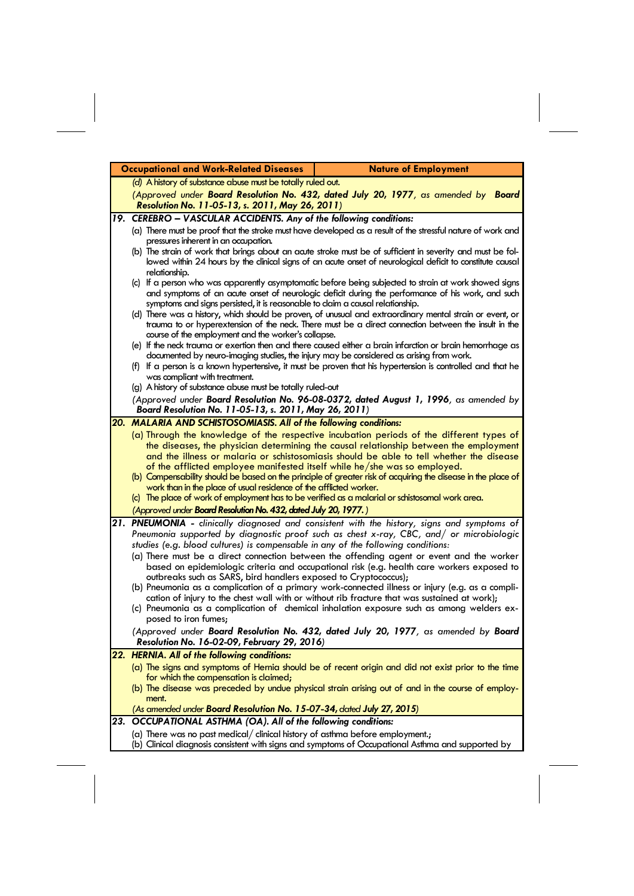| <b>Occupational and Work-Related Diseases</b><br><b>Nature of Employment</b>                                                                                                            |                                                                                                                                                                                                                           |
|-----------------------------------------------------------------------------------------------------------------------------------------------------------------------------------------|---------------------------------------------------------------------------------------------------------------------------------------------------------------------------------------------------------------------------|
| (d) A history of substance abuse must be totally ruled out.                                                                                                                             |                                                                                                                                                                                                                           |
| Resolution No. 11-05-13, s. 2011, May 26, 2011)                                                                                                                                         | (Approved under Board Resolution No. 432, dated July 20, 1977, as amended by Board                                                                                                                                        |
| 19. CEREBRO - VASCULAR ACCIDENTS. Any of the following conditions:                                                                                                                      |                                                                                                                                                                                                                           |
|                                                                                                                                                                                         | (a) There must be proof that the stroke must have developed as a result of the stressful nature of work and                                                                                                               |
| pressures inherent in an occupation.                                                                                                                                                    |                                                                                                                                                                                                                           |
| relationship.                                                                                                                                                                           | (b) The strain of work that brings about an acute stroke must be of sufficient in severity and must be fol-<br>lowed within 24 hours by the clinical signs of an acute onset of neurological deficit to constitute causal |
|                                                                                                                                                                                         | (c) If a person who was apparently asymptomatic before being subjected to strain at work showed signs                                                                                                                     |
| symptoms and signs persisted, it is reasonable to claim a causal relationship.                                                                                                          | and symptoms of an acute onset of neurologic deficit during the performance of his work, and such                                                                                                                         |
|                                                                                                                                                                                         | (d) There was a history, which should be proven, of unusual and extraordinary mental strain or event, or<br>trauma to or hyperextension of the neck. There must be a direct connection between the insult in the          |
| course of the employment and the worker's collapse.                                                                                                                                     |                                                                                                                                                                                                                           |
|                                                                                                                                                                                         | (e) If the neck trauma or exertion then and there caused either a brain infarction or brain hemorrhage as                                                                                                                 |
| documented by neuro-imaging studies, the injury may be considered as arising from work.                                                                                                 |                                                                                                                                                                                                                           |
| was compliant with treatment.                                                                                                                                                           | (f) If a person is a known hypertensive, it must be proven that his hypertension is controlled and that he                                                                                                                |
| (g) A history of substance abuse must be totally ruled-out                                                                                                                              |                                                                                                                                                                                                                           |
| (Approved under Board Resolution No. 96-08-0372, dated August 1, 1996, as amended by                                                                                                    |                                                                                                                                                                                                                           |
| Board Resolution No. 11-05-13, s. 2011, May 26, 2011)                                                                                                                                   |                                                                                                                                                                                                                           |
| 20. MALARIA AND SCHISTOSOMIASIS. All of the following conditions:                                                                                                                       |                                                                                                                                                                                                                           |
|                                                                                                                                                                                         | (a) Through the knowledge of the respective incubation periods of the different types of                                                                                                                                  |
|                                                                                                                                                                                         | the diseases, the physician determining the causal relationship between the employment<br>and the illness or malaria or schistosomiasis should be able to tell whether the disease                                        |
| of the afflicted employee manifested itself while he/she was so employed.                                                                                                               |                                                                                                                                                                                                                           |
|                                                                                                                                                                                         | (b) Compensability should be based on the principle of greater risk of acquiring the disease in the place of                                                                                                              |
| work than in the place of usual residence of the afflicted worker.                                                                                                                      |                                                                                                                                                                                                                           |
| (c) The place of work of employment has to be verified as a malarial or schistosomal work area.                                                                                         |                                                                                                                                                                                                                           |
| (Approved under Board Resolution No. 432, dated July 20, 1977.)                                                                                                                         |                                                                                                                                                                                                                           |
|                                                                                                                                                                                         | 21. PNEUMONIA - clinically diagnosed and consistent with the history, signs and symptoms of<br>Pneumonia supported by diagnostic proof such as chest x-ray, CBC, and/ or microbiologic                                    |
| studies (e.g. blood cultures) is compensable in any of the following conditions:                                                                                                        |                                                                                                                                                                                                                           |
| (a) There must be a direct connection between the offending agent or event and the worker<br>based on epidemiologic criteria and occupational risk (e.g. health care workers exposed to |                                                                                                                                                                                                                           |
| outbreaks such as SARS, bird handlers exposed to Cryptococcus);                                                                                                                         |                                                                                                                                                                                                                           |
|                                                                                                                                                                                         | (b) Pneumonia as a complication of a primary work-connected illness or injury (e.g. as a compli-                                                                                                                          |
|                                                                                                                                                                                         | cation of injury to the chest wall with or without rib fracture that was sustained at work);                                                                                                                              |
| posed to iron fumes:                                                                                                                                                                    | (c) Pneumonia as a complication of chemical inhalation exposure such as among welders ex-                                                                                                                                 |
| <b>Resolution No. 16-02-09, February 29, 2016</b> )                                                                                                                                     | (Approved under Board Resolution No. 432, dated July 20, 1977, as amended by Board                                                                                                                                        |
| 22. HERNIA. All of the following conditions:                                                                                                                                            |                                                                                                                                                                                                                           |
|                                                                                                                                                                                         | (a) The signs and symptoms of Hernia should be of recent origin and did not exist prior to the time                                                                                                                       |
| for which the compensation is claimed;                                                                                                                                                  | (b) The disease was preceded by undue physical strain arising out of and in the course of employ-                                                                                                                         |
| ment.                                                                                                                                                                                   |                                                                                                                                                                                                                           |
| (As amended under <b>Board Resolution No. 15-07-34,</b> dated July 27, 2015)                                                                                                            |                                                                                                                                                                                                                           |
| 23. OCCUPATIONAL ASTHMA (OA). All of the following conditions:                                                                                                                          |                                                                                                                                                                                                                           |
|                                                                                                                                                                                         |                                                                                                                                                                                                                           |
| (a) There was no past medical/ clinical history of asthma before employment.;                                                                                                           | (b) Clinical diagnosis consistent with signs and symptoms of Occupational Asthma and supported by                                                                                                                         |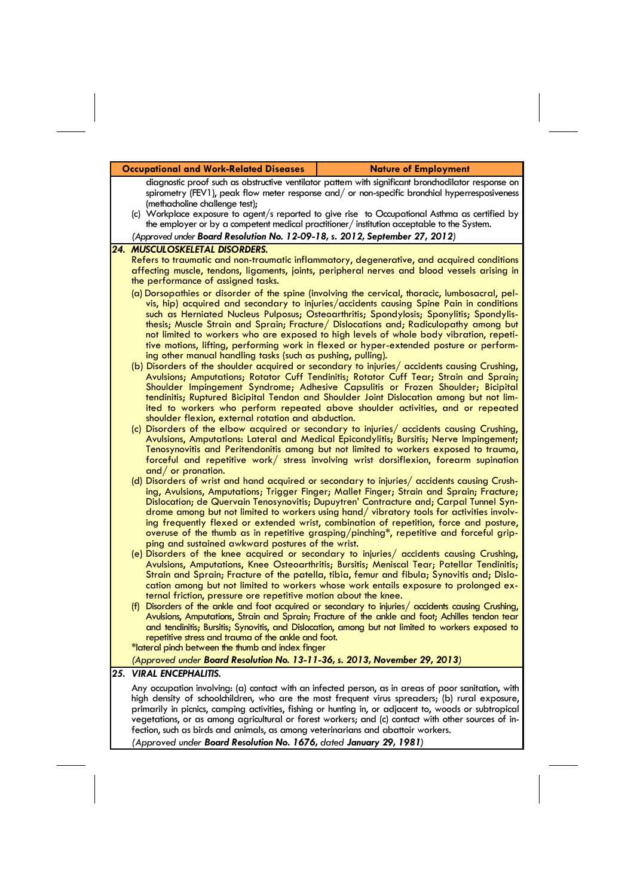|     | <b>Occupational and Work-Related Diseases</b><br><b>Nature of Employment</b>                                                                                                                                                                                                                                                                                                                                                                                                                                                                                                                                            |  |
|-----|-------------------------------------------------------------------------------------------------------------------------------------------------------------------------------------------------------------------------------------------------------------------------------------------------------------------------------------------------------------------------------------------------------------------------------------------------------------------------------------------------------------------------------------------------------------------------------------------------------------------------|--|
|     | diagnostic proof such as obstructive ventilator pattern with significant bronchodilator response on<br>spirometry (FEV1), peak flow meter response and/ or non-specific bronchial hyperresposiveness<br>(methacholine challenge test);                                                                                                                                                                                                                                                                                                                                                                                  |  |
|     | (c) Workplace exposure to agent/s reported to give rise to Occupational Asthma as certified by<br>the employer or by a competent medical practitioner/institution acceptable to the System.                                                                                                                                                                                                                                                                                                                                                                                                                             |  |
|     | (Approved under Board Resolution No. 12-09-18, s. 2012, September 27, 2012)                                                                                                                                                                                                                                                                                                                                                                                                                                                                                                                                             |  |
|     | 24. MUSCULOSKELETAL DISORDERS.<br>Refers to traumatic and non-traumatic inflammatory, degenerative, and acquired conditions<br>affecting muscle, tendons, ligaments, joints, peripheral nerves and blood vessels arising in<br>the performance of assigned tasks.<br>(a) Dorsopathies or disorder of the spine (involving the cervical, thoracic, lumbosacral, pel-<br>vis, hip) acquired and secondary to injuries/accidents causing Spine Pain in conditions                                                                                                                                                          |  |
|     | such as Herniated Nucleus Pulposus; Osteoarthritis; Spondylosis; Sponylitis; Spondylis-<br>thesis; Muscle Strain and Sprain; Fracture/ Dislocations and; Radiculopathy among but<br>not limited to workers who are exposed to high levels of whole body vibration, repeti-<br>tive motions, lifting, performing work in flexed or hyper-extended posture or perform-<br>ing other manual handling tasks (such as pushing, pulling).<br>(b) Disorders of the shoulder acquired or secondary to injuries/ accidents causing Crushing,                                                                                     |  |
|     | Avulsions; Amputations; Rotator Cuff Tendinitis; Rotator Cuff Tear; Strain and Sprain;<br>Shoulder Impingement Syndrome; Adhesive Capsulitis or Frozen Shoulder; Bicipital<br>tendinitis; Ruptured Bicipital Tendon and Shoulder Joint Dislocation among but not lim-<br>ited to workers who perform repeated above shoulder activities, and or repeated<br>shoulder flexion, external rotation and abduction.<br>(c) Disorders of the elbow acquired or secondary to injuries/ accidents causing Crushing,                                                                                                             |  |
|     | Avulsions, Amputations: Lateral and Medical Epicondylitis; Bursitis; Nerve Impingement;<br>Tenosynovitis and Peritendonitis among but not limited to workers exposed to trauma,<br>forceful and repetitive work/ stress involving wrist dorsiflexion, forearm supination<br>and/ or pronation.                                                                                                                                                                                                                                                                                                                          |  |
|     | (d) Disorders of wrist and hand acquired or secondary to injuries/ accidents causing Crush-<br>ing, Avulsions, Amputations; Trigger Finger; Mallet Finger; Strain and Sprain; Fracture;<br>Dislocation; de Quervain Tenosynovitis; Dupuytren' Contracture and; Carpal Tunnel Syn-<br>drome among but not limited to workers using hand/vibratory tools for activities involv-<br>ing frequently flexed or extended wrist, combination of repetition, force and posture,<br>overuse of the thumb as in repetitive grasping/pinching*, repetitive and forceful grip-<br>ping and sustained awkward postures of the wrist. |  |
|     | (e) Disorders of the knee acquired or secondary to injuries/ accidents causing Crushing,<br>Avulsions, Amputations, Knee Osteoarthritis; Bursitis; Meniscal Tear; Patellar Tendinitis;<br>Strain and Sprain; Fracture of the patella, tibia, femur and fibula; Synovitis and; Dislo-<br>cation among but not limited to workers whose work entails exposure to prolonged ex-<br>ternal friction, pressure ore repetitive motion about the knee.                                                                                                                                                                         |  |
|     | Disorders of the ankle and foot acquired or secondary to injuries/ accidents causing Crushing,<br>(f)<br>Avulsions, Amputations, Strain and Sprain; Fracture of the ankle and foot; Achilles tendon tear<br>and tendinitis; Bursitis; Synovitis, and Dislocation, among but not limited to workers exposed to<br>repetitive stress and trauma of the ankle and foot.                                                                                                                                                                                                                                                    |  |
|     | *lateral pinch between the thumb and index finger                                                                                                                                                                                                                                                                                                                                                                                                                                                                                                                                                                       |  |
| 25. | (Approved under Board Resolution No. 13-11-36, s. 2013, November 29, 2013)<br><b>VIRAL ENCEPHALITIS.</b>                                                                                                                                                                                                                                                                                                                                                                                                                                                                                                                |  |
|     | Any occupation involving: (a) contact with an infected person, as in areas of poor sanitation, with<br>high density of schoolchildren, who are the most frequent virus spreaders; (b) rural exposure,<br>primarily in picnics, camping activities, fishing or hunting in, or adjacent to, woods or subtropical<br>vegetations, or as among agricultural or forest workers; and (c) contact with other sources of in-                                                                                                                                                                                                    |  |

fection, such as birds and animals, as among veterinarians and abattoir workers. *(Approved under Board Resolution No. 1676, dated January 29, 1981)*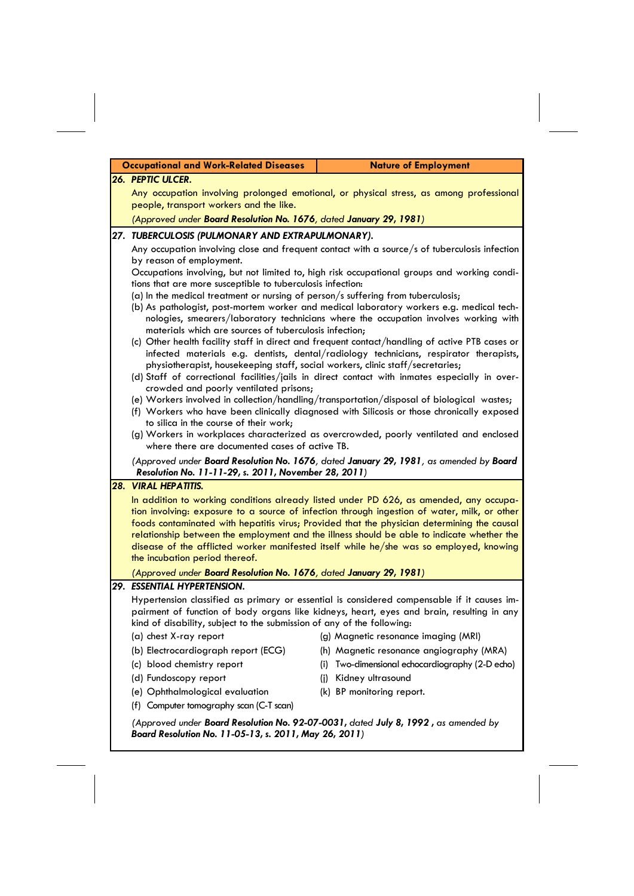|     | <b>Occupational and Work-Related Diseases</b><br><b>Nature of Employment</b>                                                                                                                                                                                                                                        |     |                                                                                                                                                                                           |
|-----|---------------------------------------------------------------------------------------------------------------------------------------------------------------------------------------------------------------------------------------------------------------------------------------------------------------------|-----|-------------------------------------------------------------------------------------------------------------------------------------------------------------------------------------------|
|     | 26. PEPTIC ULCER.                                                                                                                                                                                                                                                                                                   |     |                                                                                                                                                                                           |
|     | Any occupation involving prolonged emotional, or physical stress, as among professional                                                                                                                                                                                                                             |     |                                                                                                                                                                                           |
|     | people, transport workers and the like.                                                                                                                                                                                                                                                                             |     |                                                                                                                                                                                           |
|     | (Approved under Board Resolution No. 1676, dated January 29, 1981)                                                                                                                                                                                                                                                  |     |                                                                                                                                                                                           |
|     | 27. TUBERCULOSIS (PULMONARY AND EXTRAPULMONARY).                                                                                                                                                                                                                                                                    |     |                                                                                                                                                                                           |
|     |                                                                                                                                                                                                                                                                                                                     |     | Any occupation involving close and frequent contact with a source/s of tuberculosis infection                                                                                             |
|     | by reason of employment.<br>Occupations involving, but not limited to, high risk occupational groups and working condi-                                                                                                                                                                                             |     |                                                                                                                                                                                           |
|     | tions that are more susceptible to tuberculosis infection:                                                                                                                                                                                                                                                          |     |                                                                                                                                                                                           |
|     | (a) In the medical treatment or nursing of person/s suffering from tuberculosis;                                                                                                                                                                                                                                    |     |                                                                                                                                                                                           |
|     | (b) As pathologist, post-mortem worker and medical laboratory workers e.g. medical tech-                                                                                                                                                                                                                            |     | nologies, smearers/laboratory technicians where the occupation involves working with                                                                                                      |
|     | materials which are sources of tuberculosis infection;                                                                                                                                                                                                                                                              |     |                                                                                                                                                                                           |
|     | (c) Other health facility staff in direct and frequent contact/handling of active PTB cases or<br>infected materials e.g. dentists, dental/radiology technicians, respirator therapists,                                                                                                                            |     |                                                                                                                                                                                           |
|     | physiotherapist, housekeeping staff, social workers, clinic staff/secretaries;                                                                                                                                                                                                                                      |     |                                                                                                                                                                                           |
|     | (d) Staff of correctional facilities/jails in direct contact with inmates especially in over-                                                                                                                                                                                                                       |     |                                                                                                                                                                                           |
|     | crowded and poorly ventilated prisons;<br>(e) Workers involved in collection/handling/transportation/disposal of biological wastes;<br>(f) Workers who have been clinically diagnosed with Silicosis or those chronically exposed<br>to silica in the course of their work;                                         |     |                                                                                                                                                                                           |
|     |                                                                                                                                                                                                                                                                                                                     |     |                                                                                                                                                                                           |
|     |                                                                                                                                                                                                                                                                                                                     |     |                                                                                                                                                                                           |
|     |                                                                                                                                                                                                                                                                                                                     |     | (g) Workers in workplaces characterized as overcrowded, poorly ventilated and enclosed                                                                                                    |
|     | where there are documented cases of active TB.                                                                                                                                                                                                                                                                      |     |                                                                                                                                                                                           |
|     | (Approved under Board Resolution No. 1676, dated January 29, 1981, as amended by Board<br>Resolution No. 11-11-29, s. 2011, November 28, 2011)                                                                                                                                                                      |     |                                                                                                                                                                                           |
| 28. | <b>VIRAL HEPATITIS.</b>                                                                                                                                                                                                                                                                                             |     |                                                                                                                                                                                           |
|     | In addition to working conditions already listed under PD 626, as amended, any occupa-<br>tion involving: exposure to a source of infection through ingestion of water, milk, or other<br>disease of the afflicted worker manifested itself while he/she was so employed, knowing<br>the incubation period thereof. |     | foods contaminated with hepatitis virus; Provided that the physician determining the causal<br>relationship between the employment and the illness should be able to indicate whether the |
|     | (Approved under Board Resolution No. 1676, dated January 29, 1981)                                                                                                                                                                                                                                                  |     |                                                                                                                                                                                           |
|     | 29. ESSENTIAL HYPERTENSION.                                                                                                                                                                                                                                                                                         |     |                                                                                                                                                                                           |
|     | Hypertension classified as primary or essential is considered compensable if it causes im-                                                                                                                                                                                                                          |     |                                                                                                                                                                                           |
|     | pairment of function of body organs like kidneys, heart, eyes and brain, resulting in any<br>kind of disability, subject to the submission of any of the following:                                                                                                                                                 |     |                                                                                                                                                                                           |
|     | (a) chest X-ray report                                                                                                                                                                                                                                                                                              |     | (g) Magnetic resonance imaging (MRI)                                                                                                                                                      |
|     | (b) Electrocardiograph report (ECG)                                                                                                                                                                                                                                                                                 |     | (h) Magnetic resonance angiography (MRA)                                                                                                                                                  |
|     | (c) blood chemistry report                                                                                                                                                                                                                                                                                          | (i) | Two-dimensional echocardiography (2-D echo)                                                                                                                                               |
|     | (d) Fundoscopy report                                                                                                                                                                                                                                                                                               | (i) | Kidney ultrasound                                                                                                                                                                         |
|     | (e) Ophthalmological evaluation                                                                                                                                                                                                                                                                                     |     | (k) BP monitoring report.                                                                                                                                                                 |
|     | (f) Computer tomography scan (C-T scan)                                                                                                                                                                                                                                                                             |     |                                                                                                                                                                                           |
|     | (Approved under Board Resolution No. 92-07-0031, dated July 8, 1992, as amended by<br>Board Resolution No. 11-05-13, s. 2011, May 26, 2011)                                                                                                                                                                         |     |                                                                                                                                                                                           |